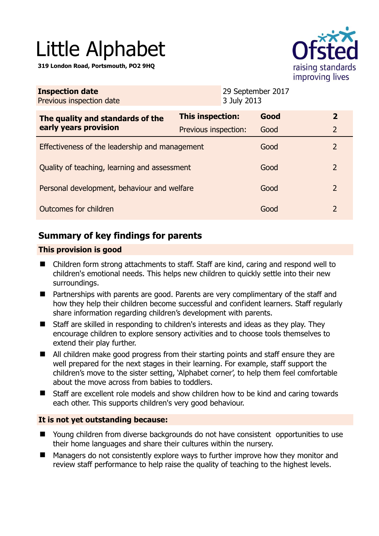# Little Alphabet

**319 London Road, Portsmouth, PO2 9HQ** 



| <b>Inspection date</b><br>Previous inspection date        |                      | 29 September 2017<br>3 July 2013 |      |                |
|-----------------------------------------------------------|----------------------|----------------------------------|------|----------------|
| The quality and standards of the<br>early years provision | This inspection:     |                                  | Good | $\mathbf{2}$   |
|                                                           | Previous inspection: |                                  | Good | $\overline{2}$ |
| Effectiveness of the leadership and management            |                      |                                  | Good | 2              |
| Quality of teaching, learning and assessment              |                      |                                  | Good | 2              |
| Personal development, behaviour and welfare               |                      |                                  | Good | 2              |
| Outcomes for children                                     |                      |                                  | Good | 2              |

# **Summary of key findings for parents**

## **This provision is good**

- Children form strong attachments to staff. Staff are kind, caring and respond well to children's emotional needs. This helps new children to quickly settle into their new surroundings.
- Partnerships with parents are good. Parents are very complimentary of the staff and how they help their children become successful and confident learners. Staff regularly share information regarding children's development with parents.
- Staff are skilled in responding to children's interests and ideas as they play. They encourage children to explore sensory activities and to choose tools themselves to extend their play further.
- All children make good progress from their starting points and staff ensure they are well prepared for the next stages in their learning. For example, staff support the children's move to the sister setting, 'Alphabet corner', to help them feel comfortable about the move across from babies to toddlers.
- Staff are excellent role models and show children how to be kind and caring towards each other. This supports children's very good behaviour.

## **It is not yet outstanding because:**

- Young children from diverse backgrounds do not have consistent opportunities to use their home languages and share their cultures within the nursery.
- Managers do not consistently explore ways to further improve how they monitor and review staff performance to help raise the quality of teaching to the highest levels.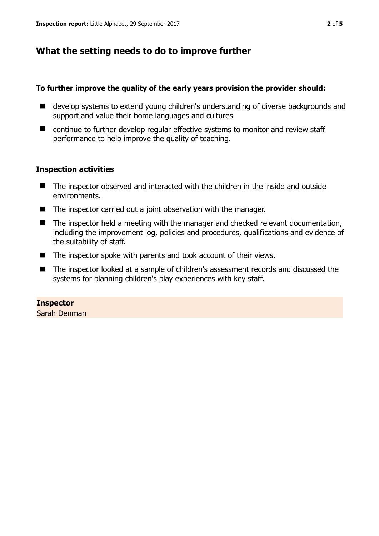## **What the setting needs to do to improve further**

## **To further improve the quality of the early years provision the provider should:**

- develop systems to extend young children's understanding of diverse backgrounds and support and value their home languages and cultures
- continue to further develop regular effective systems to monitor and review staff performance to help improve the quality of teaching.

## **Inspection activities**

- The inspector observed and interacted with the children in the inside and outside environments.
- The inspector carried out a joint observation with the manager.
- The inspector held a meeting with the manager and checked relevant documentation, including the improvement log, policies and procedures, qualifications and evidence of the suitability of staff.
- The inspector spoke with parents and took account of their views.
- The inspector looked at a sample of children's assessment records and discussed the systems for planning children's play experiences with key staff.

# **Inspector**

Sarah Denman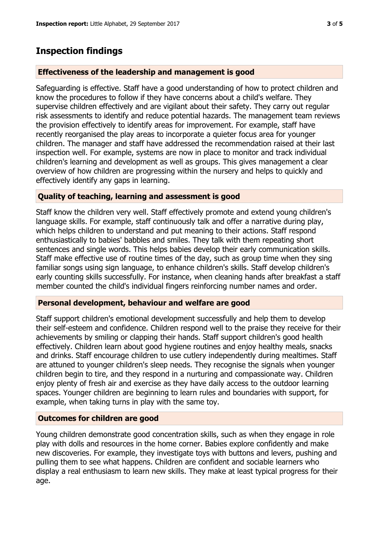# **Inspection findings**

## **Effectiveness of the leadership and management is good**

Safeguarding is effective. Staff have a good understanding of how to protect children and know the procedures to follow if they have concerns about a child's welfare. They supervise children effectively and are vigilant about their safety. They carry out regular risk assessments to identify and reduce potential hazards. The management team reviews the provision effectively to identify areas for improvement. For example, staff have recently reorganised the play areas to incorporate a quieter focus area for younger children. The manager and staff have addressed the recommendation raised at their last inspection well. For example, systems are now in place to monitor and track individual children's learning and development as well as groups. This gives management a clear overview of how children are progressing within the nursery and helps to quickly and effectively identify any gaps in learning.

## **Quality of teaching, learning and assessment is good**

Staff know the children very well. Staff effectively promote and extend young children's language skills. For example, staff continuously talk and offer a narrative during play, which helps children to understand and put meaning to their actions. Staff respond enthusiastically to babies' babbles and smiles. They talk with them repeating short sentences and single words. This helps babies develop their early communication skills. Staff make effective use of routine times of the day, such as group time when they sing familiar songs using sign language, to enhance children's skills. Staff develop children's early counting skills successfully. For instance, when cleaning hands after breakfast a staff member counted the child's individual fingers reinforcing number names and order.

### **Personal development, behaviour and welfare are good**

Staff support children's emotional development successfully and help them to develop their self-esteem and confidence. Children respond well to the praise they receive for their achievements by smiling or clapping their hands. Staff support children's good health effectively. Children learn about good hygiene routines and enjoy healthy meals, snacks and drinks. Staff encourage children to use cutlery independently during mealtimes. Staff are attuned to younger children's sleep needs. They recognise the signals when younger children begin to tire, and they respond in a nurturing and compassionate way. Children enjoy plenty of fresh air and exercise as they have daily access to the outdoor learning spaces. Younger children are beginning to learn rules and boundaries with support, for example, when taking turns in play with the same toy.

### **Outcomes for children are good**

Young children demonstrate good concentration skills, such as when they engage in role play with dolls and resources in the home corner. Babies explore confidently and make new discoveries. For example, they investigate toys with buttons and levers, pushing and pulling them to see what happens. Children are confident and sociable learners who display a real enthusiasm to learn new skills. They make at least typical progress for their age.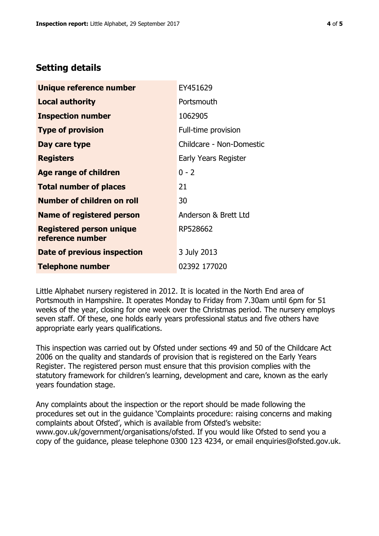## **Setting details**

| Unique reference number                             | EY451629                 |  |  |
|-----------------------------------------------------|--------------------------|--|--|
| <b>Local authority</b>                              | Portsmouth               |  |  |
| <b>Inspection number</b>                            | 1062905                  |  |  |
| <b>Type of provision</b>                            | Full-time provision      |  |  |
| Day care type                                       | Childcare - Non-Domestic |  |  |
| <b>Registers</b>                                    | Early Years Register     |  |  |
| Age range of children                               | $0 - 2$                  |  |  |
| <b>Total number of places</b>                       | 21                       |  |  |
| <b>Number of children on roll</b>                   | 30                       |  |  |
| <b>Name of registered person</b>                    | Anderson & Brett Ltd     |  |  |
| <b>Registered person unique</b><br>reference number | RP528662                 |  |  |
| Date of previous inspection                         | 3 July 2013              |  |  |
| <b>Telephone number</b>                             | 02392 177020             |  |  |

Little Alphabet nursery registered in 2012. It is located in the North End area of Portsmouth in Hampshire. It operates Monday to Friday from 7.30am until 6pm for 51 weeks of the year, closing for one week over the Christmas period. The nursery employs seven staff. Of these, one holds early years professional status and five others have appropriate early years qualifications.

This inspection was carried out by Ofsted under sections 49 and 50 of the Childcare Act 2006 on the quality and standards of provision that is registered on the Early Years Register. The registered person must ensure that this provision complies with the statutory framework for children's learning, development and care, known as the early years foundation stage.

Any complaints about the inspection or the report should be made following the procedures set out in the guidance 'Complaints procedure: raising concerns and making complaints about Ofsted', which is available from Ofsted's website: www.gov.uk/government/organisations/ofsted. If you would like Ofsted to send you a copy of the guidance, please telephone 0300 123 4234, or email enquiries@ofsted.gov.uk.